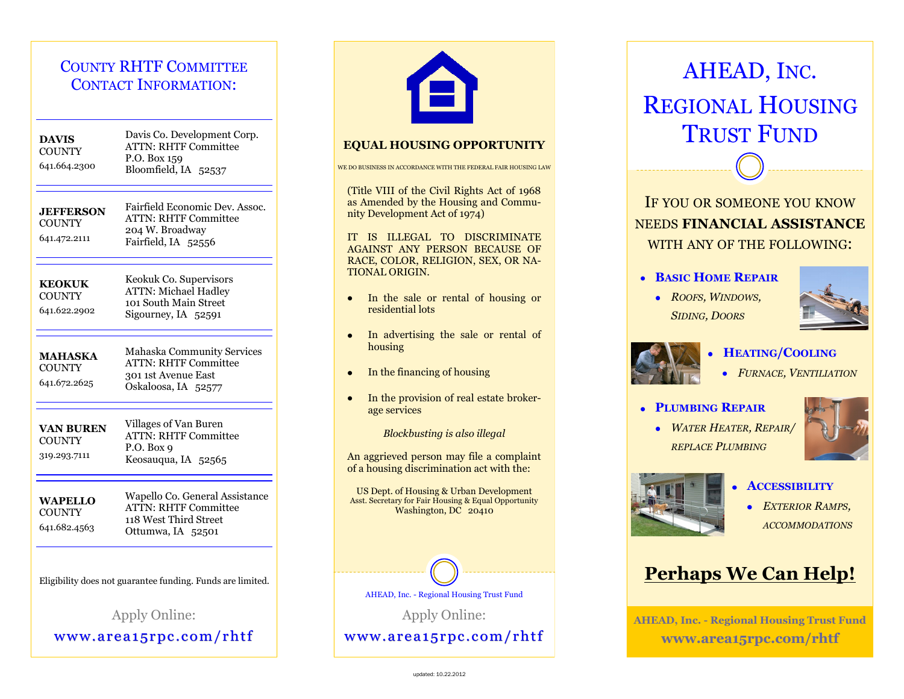# COUNTY RHTF COMMITTEE CONTACT INFORMATION:

| <b>DAVIS</b><br><b>COUNTY</b><br>641.664.2300              | Davis Co. Development Corp.<br><b>ATTN: RHTF Committee</b><br>P.O. Box 159<br>Bloomfield, IA 52537             |  |
|------------------------------------------------------------|----------------------------------------------------------------------------------------------------------------|--|
| <b>JEFFERSON</b><br><b>COUNTY</b><br>641.472.2111          | Fairfield Economic Dev. Assoc.<br><b>ATTN: RHTF Committee</b><br>204 W. Broadway<br>Fairfield, IA 52556        |  |
| <b>KEOKUK</b><br><b>COUNTY</b><br>641.622.2902             | Keokuk Co. Supervisors<br><b>ATTN: Michael Hadley</b><br>101 South Main Street<br>Sigourney, IA 52591          |  |
| <b>MAHASKA</b><br><b>COUNTY</b><br>641.672.2625            | <b>Mahaska Community Services</b><br><b>ATTN: RHTF Committee</b><br>301 1st Avenue East<br>Oskaloosa, IA 52577 |  |
| <b>VAN BUREN</b><br><b>COUNTY</b><br>319.293.7111          | Villages of Van Buren<br><b>ATTN: RHTF Committee</b><br>P.O. Box $9$<br>Keosauqua, IA 52565                    |  |
| <b>WAPELLO</b><br><b>COUNTY</b><br>641.682.4563            | Wapello Co. General Assistance<br><b>ATTN: RHTF Committee</b><br>118 West Third Street<br>Ottumwa, IA 52501    |  |
| Eligibility does not guarantee funding. Funds are limited. |                                                                                                                |  |

Apply Online: www.area15rpc.com/rhtf



#### **EQUAL HOUSING OPPORTUNITY**

#### WE DO BUSINESS IN ACCORDANCE WITH THE FEDERAL FAIR HOUSING LAW

(Title VIII of the Civil Rights Act of 1968 as Amended by the Housing and Community Development Act of 1974)

IT IS ILLEGAL TO DISCRIMINATE AGAINST ANY PERSON BECAUSE OF RACE, COLOR, RELIGION, SEX, OR NA-TIONAL ORIGIN.

- In the sale or rental of housing or residential lots
- In advertising the sale or rental of housing
- In the financing of housing
- In the provision of real estate brokerage services

*Blockbusting is also illegal*

An aggrieved person may file a complaint of a housing discrimination act with the:

US Dept. of Housing & Urban Development Asst. Secretary for Fair Housing & Equal Opportunity Washington, DC 20410



AHEAD, Inc. - Regional Housing Trust Fund

Apply Online:

www.area15rpc.com/rhtf

# AHEAD, INC. REGIONAL HOUSING TRUST FUND

IF YOU OR SOMEONE YOU KNOW NEEDS **FINANCIAL ASSISTANCE** WITH ANY OF THE FOLLOWING:

- **BASIC HOME REPAIR**
	- *ROOFS, WINDOWS, SIDING, DOORS*





## **HEATING/COOLING**

*FURNACE, VENTILIATION*

#### **PLUMBING REPAIR**

*WATER HEATER, REPAIR/ REPLACE PLUMBING*





- **ACCESSIBILITY**
	- *EXTERIOR RAMPS, ACCOMMODATIONS*

# **Perhaps We Can Help!**

**AHEAD, Inc. - Regional Housing Trust Fund www.area15rpc.com/rhtf**